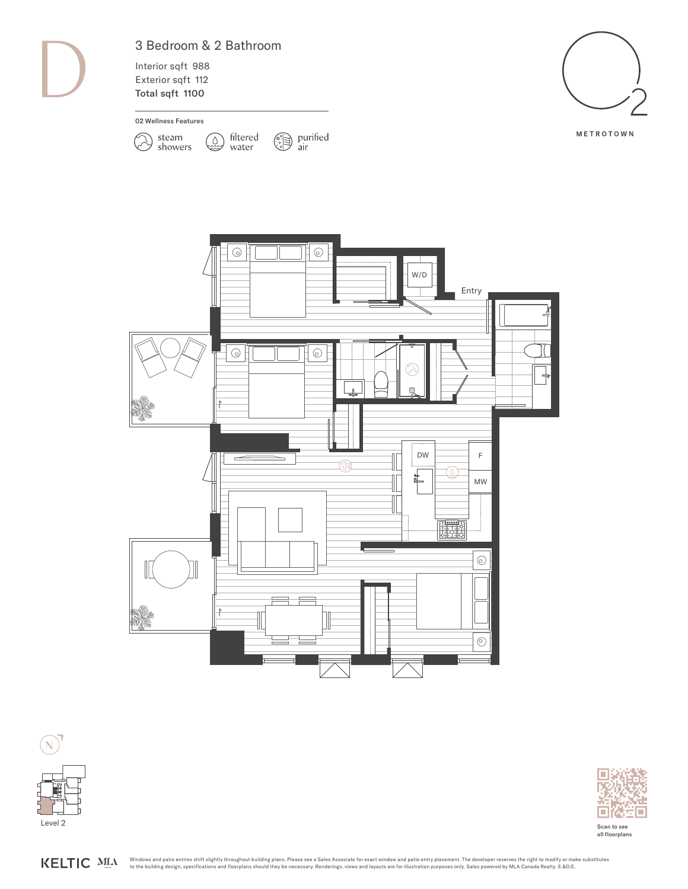D

## 3 Bedroom & 2 Bathroom

 $\mathbb{Q}$ 

Interior sqft 988 Exterior sqft 112 Total sqft 1100

02 Wellness Features

 $(\lambda)$ 

steam<br>showers







 $\begin{picture}(120,10) \put(0,0){\line(1,0){15}} \put(15,0){\line(1,0){15}} \put(15,0){\line(1,0){15}} \put(15,0){\line(1,0){15}} \put(15,0){\line(1,0){15}} \put(15,0){\line(1,0){15}} \put(15,0){\line(1,0){15}} \put(15,0){\line(1,0){15}} \put(15,0){\line(1,0){15}} \put(15,0){\line(1,0){15}} \put(15,0){\line(1,0){15}} \put(15,0){\line($ 

filtered

water





Scan to see all floorplans

KELTIC MLA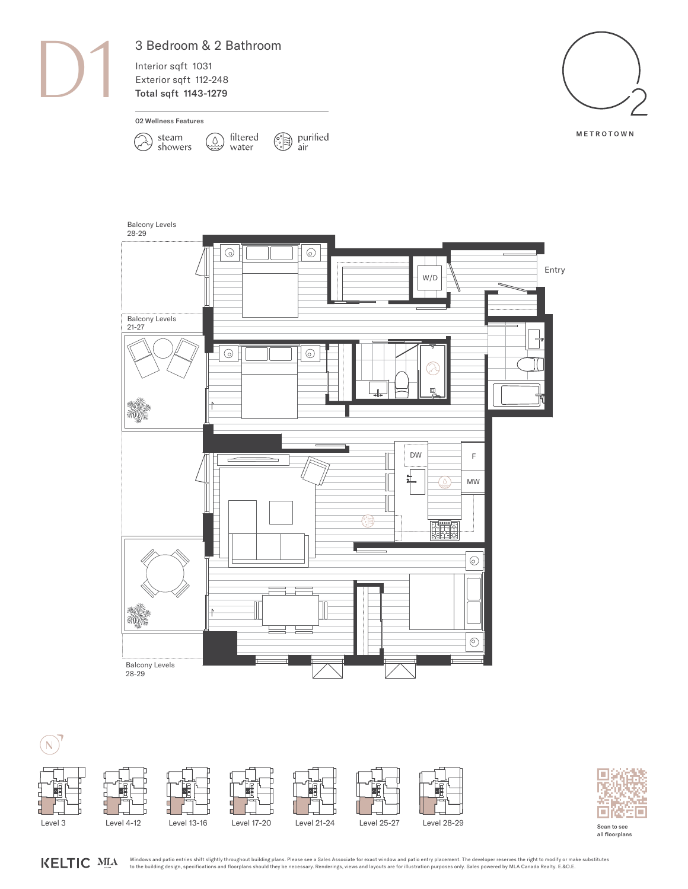

## 3 Bedroom & 2 Bathroom

Interior sqft 1031 Exterior sqft 112-248 Total sqft 1143-1279



METROTOWN



air purified air





KELTIC MLA



Scan to see all floorplans

Windows and patio entries shift slightly throughout building plans. Please see a Sales Associate for exact window and patio entry placement. The developer reserves the right to modify or make substitutes to the building design, specifications and floorplans should they be necessary. Renderings, views and layouts are for illustration purposes only. Sales powered by MLA Canada Realty. E.&O.E.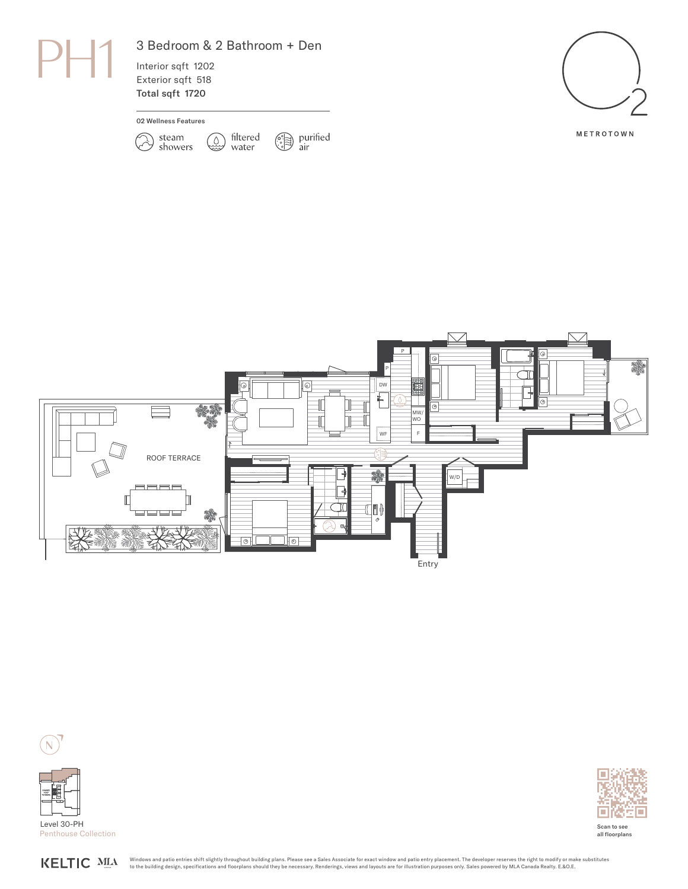

## 3 Bedroom & 2 Bathroom + Den

 $Q$ 

filtered

water

 $\circled{?}$  purified<br>air

air

Interior sqft 1202 Exterior sqft 518 Total sqft 1720

02 Wellness Features

 $\sum$ 

steam<br>showers









Level 30-PH Penthouse Collection



Scan to see all floorplans

**KELTIC MLA** 

Windows and patio entries shift slightly throughout building plans. Please see a Sales Associate for exact window and patio entry placement. The developer reserves the right to modify or make substitutes to the building design, specifications and floorplans should they be necessary. Renderings, views and layouts are for illustration purposes only. Sales powered by MLA Canada Realty. E.&O.E.